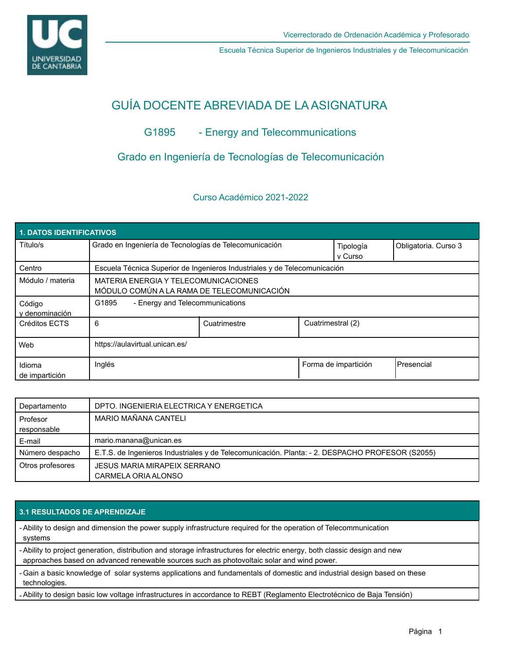

Escuela Técnica Superior de Ingenieros Industriales y de Telecomunicación

# GUÍA DOCENTE ABREVIADA DE LA ASIGNATURA

# G1895 - Energy and Telecommunications

# Grado en Ingeniería de Tecnologías de Telecomunicación

## Curso Académico 2021-2022

| 1. DATOS IDENTIFICATIVOS |                                                                                    |              |                   |                      |                      |  |  |  |
|--------------------------|------------------------------------------------------------------------------------|--------------|-------------------|----------------------|----------------------|--|--|--|
| Título/s                 | Grado en Ingeniería de Tecnologías de Telecomunicación                             |              |                   | Tipología<br>v Curso | Obligatoria. Curso 3 |  |  |  |
| Centro                   | Escuela Técnica Superior de Ingenieros Industriales y de Telecomunicación          |              |                   |                      |                      |  |  |  |
| Módulo / materia         | MATERIA ENERGIA Y TELECOMUNICACIONES<br>MÓDULO COMÚN A LA RAMA DE TELECOMUNICACIÓN |              |                   |                      |                      |  |  |  |
| Código<br>v denominación | G1895<br>- Energy and Telecommunications                                           |              |                   |                      |                      |  |  |  |
| Créditos ECTS            | 6                                                                                  | Cuatrimestre | Cuatrimestral (2) |                      |                      |  |  |  |
| Web                      | https://aulavirtual.unican.es/                                                     |              |                   |                      |                      |  |  |  |
| Idioma<br>de impartición | Inglés                                                                             |              |                   | Forma de impartición | Presencial           |  |  |  |

| Departamento     | DPTO. INGENIERIA ELECTRICA Y ENERGETICA                                                         |
|------------------|-------------------------------------------------------------------------------------------------|
| Profesor         | MARIO MAÑANA CANTELI                                                                            |
| responsable      |                                                                                                 |
| E-mail           | mario.manana@unican.es                                                                          |
| Número despacho  | E.T.S. de Ingenieros Industriales y de Telecomunicación. Planta: - 2. DESPACHO PROFESOR (S2055) |
| Otros profesores | <b>JESUS MARIA MIRAPEIX SERRANO</b>                                                             |
|                  | CARMELA ORIA ALONSO                                                                             |

### **3.1 RESULTADOS DE APRENDIZAJE**

- Ability to design and dimension the power supply infrastructure required for the operation of Telecommunication systems

- Ability to project generation, distribution and storage infrastructures for electric energy, both classic design and new approaches based on advanced renewable sources such as photovoltaic solar and wind power.

- Gain a basic knowledge of solar systems applications and fundamentals of domestic and industrial design based on these technologies.

- Ability to design basic low voltage infrastructures in accordance to REBT (Reglamento Electrotécnico de Baja Tensión)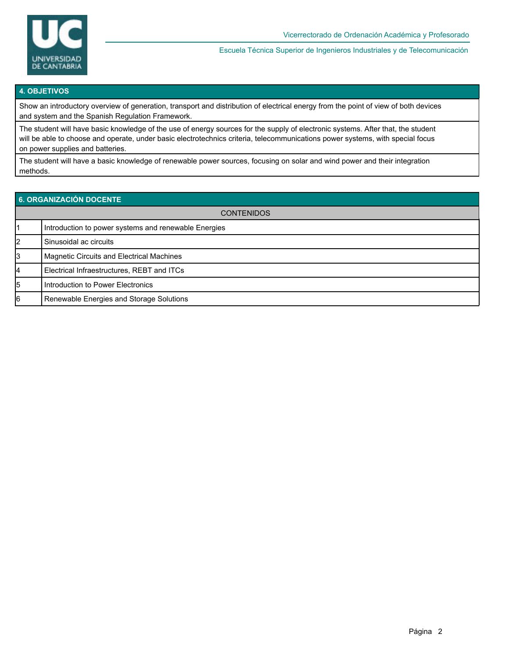

Escuela Técnica Superior de Ingenieros Industriales y de Telecomunicación

#### **4. OBJETIVOS**

Show an introductory overview of generation, transport and distribution of electrical energy from the point of view of both devices and system and the Spanish Regulation Framework.

The student will have basic knowledge of the use of energy sources for the supply of electronic systems. After that, the student will be able to choose and operate, under basic electrotechnics criteria, telecommunications power systems, with special focus on power supplies and batteries.

The student will have a basic knowledge of renewable power sources, focusing on solar and wind power and their integration methods.

| 6. ORGANIZACIÓN DOCENTE |                                                      |  |  |  |
|-------------------------|------------------------------------------------------|--|--|--|
| <b>CONTENIDOS</b>       |                                                      |  |  |  |
|                         | Introduction to power systems and renewable Energies |  |  |  |
| 2                       | Sinusoidal ac circuits                               |  |  |  |
| 3                       | Magnetic Circuits and Electrical Machines            |  |  |  |
| 4                       | Electrical Infraestructures, REBT and ITCs           |  |  |  |
| 5                       | Introduction to Power Electronics                    |  |  |  |
| 16                      | Renewable Energies and Storage Solutions             |  |  |  |